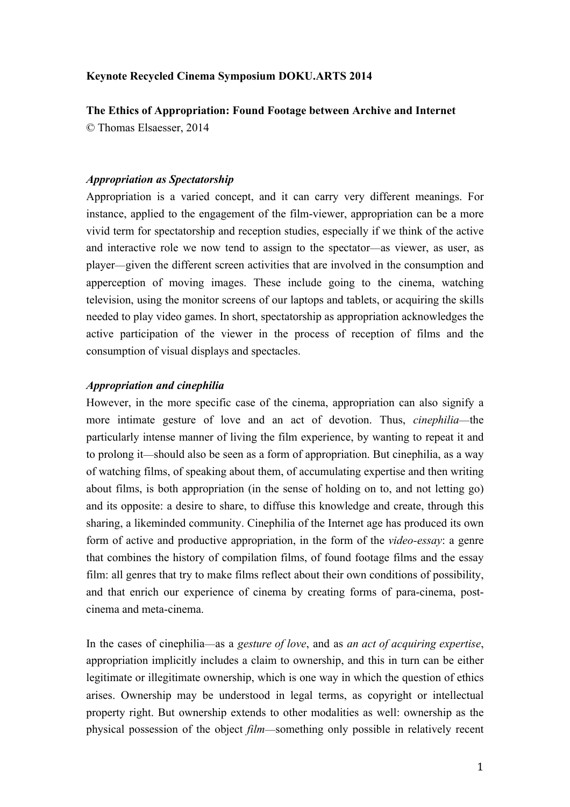### **Keynote Recycled Cinema Symposium DOKU.ARTS 2014**

**The Ethics of Appropriation: Found Footage between Archive and Internet**

© Thomas Elsaesser, 2014

## *Appropriation as Spectatorship*

Appropriation is a varied concept, and it can carry very different meanings. For instance, applied to the engagement of the film-viewer, appropriation can be a more vivid term for spectatorship and reception studies, especially if we think of the active and interactive role we now tend to assign to the spectator—as viewer, as user, as player—given the different screen activities that are involved in the consumption and apperception of moving images. These include going to the cinema, watching television, using the monitor screens of our laptops and tablets, or acquiring the skills needed to play video games. In short, spectatorship as appropriation acknowledges the active participation of the viewer in the process of reception of films and the consumption of visual displays and spectacles.

## *Appropriation and cinephilia*

However, in the more specific case of the cinema, appropriation can also signify a more intimate gesture of love and an act of devotion. Thus, *cinephilia*—the particularly intense manner of living the film experience, by wanting to repeat it and to prolong it—should also be seen as a form of appropriation. But cinephilia, as a way of watching films, of speaking about them, of accumulating expertise and then writing about films, is both appropriation (in the sense of holding on to, and not letting go) and its opposite: a desire to share, to diffuse this knowledge and create, through this sharing, a likeminded community. Cinephilia of the Internet age has produced its own form of active and productive appropriation, in the form of the *video-essay*: a genre that combines the history of compilation films, of found footage films and the essay film: all genres that try to make films reflect about their own conditions of possibility, and that enrich our experience of cinema by creating forms of para-cinema, postcinema and meta-cinema.

In the cases of cinephilia—as a *gesture of love*, and as *an act of acquiring expertise*, appropriation implicitly includes a claim to ownership, and this in turn can be either legitimate or illegitimate ownership, which is one way in which the question of ethics arises. Ownership may be understood in legal terms, as copyright or intellectual property right. But ownership extends to other modalities as well: ownership as the physical possession of the object *film*—something only possible in relatively recent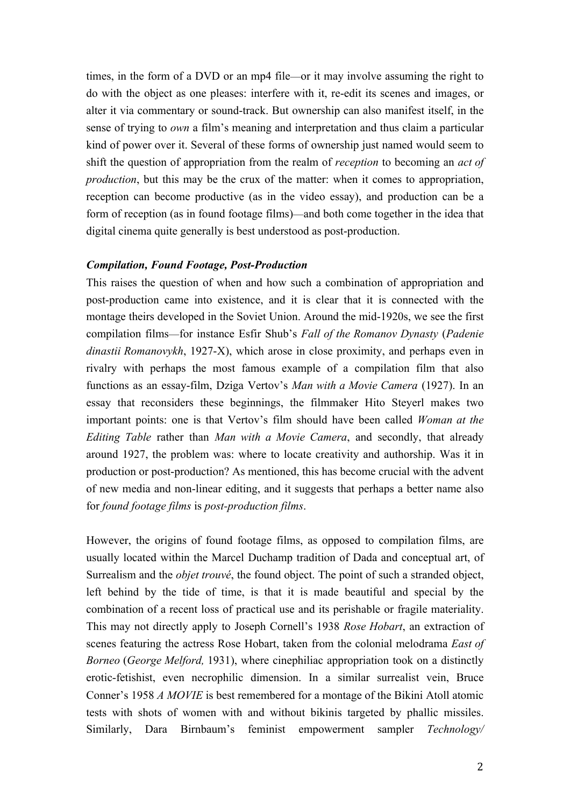times, in the form of a DVD or an mp4 file—or it may involve assuming the right to do with the object as one pleases: interfere with it, re-edit its scenes and images, or alter it via commentary or sound-track. But ownership can also manifest itself, in the sense of trying to *own* a film's meaning and interpretation and thus claim a particular kind of power over it. Several of these forms of ownership just named would seem to shift the question of appropriation from the realm of *reception* to becoming an *act of production*, but this may be the crux of the matter: when it comes to appropriation, reception can become productive (as in the video essay), and production can be a form of reception (as in found footage films)—and both come together in the idea that digital cinema quite generally is best understood as post-production.

#### *Compilation, Found Footage, Post-Production*

This raises the question of when and how such a combination of appropriation and post-production came into existence, and it is clear that it is connected with the montage theirs developed in the Soviet Union. Around the mid-1920s, we see the first compilation films—for instance Esfir Shub's *Fall of the Romanov Dynasty* (*Padenie dinastii Romanovykh*, 1927-X), which arose in close proximity, and perhaps even in rivalry with perhaps the most famous example of a compilation film that also functions as an essay-film, Dziga Vertov's *Man with a Movie Camera* (1927). In an essay that reconsiders these beginnings, the filmmaker Hito Steyerl makes two important points: one is that Vertov's film should have been called *Woman at the Editing Table* rather than *Man with a Movie Camera*, and secondly, that already around 1927, the problem was: where to locate creativity and authorship. Was it in production or post-production? As mentioned, this has become crucial with the advent of new media and non-linear editing, and it suggests that perhaps a better name also for *found footage films* is *post-production films*.

However, the origins of found footage films, as opposed to compilation films, are usually located within the Marcel Duchamp tradition of Dada and conceptual art, of Surrealism and the *objet trouvé*, the found object. The point of such a stranded object, left behind by the tide of time, is that it is made beautiful and special by the combination of a recent loss of practical use and its perishable or fragile materiality. This may not directly apply to Joseph Cornell's 1938 *Rose Hobart*, an extraction of scenes featuring the actress Rose Hobart, taken from the colonial melodrama *East of Borneo* (*George Melford,* 1931), where cinephiliac appropriation took on a distinctly erotic-fetishist, even necrophilic dimension. In a similar surrealist vein, Bruce Conner's 1958 *A MOVIE* is best remembered for a montage of the Bikini Atoll atomic tests with shots of women with and without bikinis targeted by phallic missiles. Similarly, Dara Birnbaum's feminist empowerment sampler *Technology/*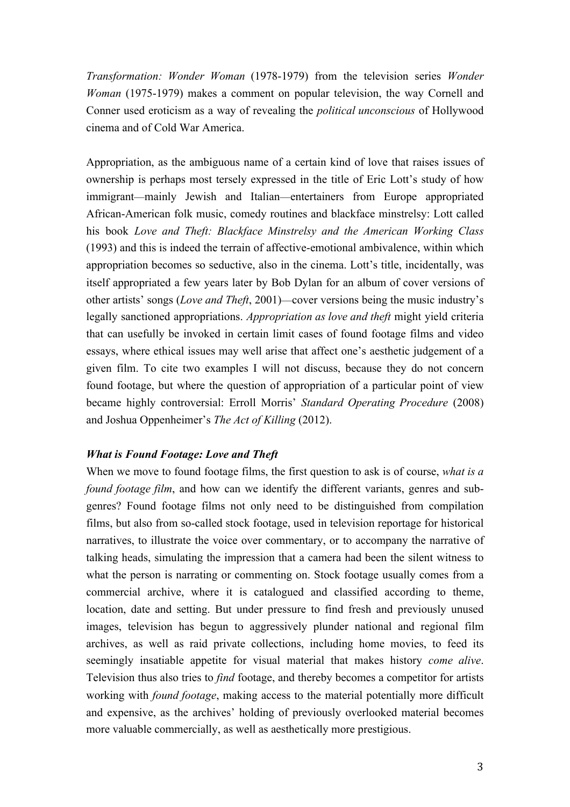*Transformation: Wonder Woman* (1978-1979) from the television series *Wonder Woman* (1975-1979) makes a comment on popular television, the way Cornell and Conner used eroticism as a way of revealing the *political unconscious* of Hollywood cinema and of Cold War America.

Appropriation, as the ambiguous name of a certain kind of love that raises issues of ownership is perhaps most tersely expressed in the title of Eric Lott's study of how immigrant—mainly Jewish and Italian—entertainers from Europe appropriated African-American folk music, comedy routines and blackface minstrelsy: Lott called his book *Love and Theft: Blackface Minstrelsy and the American Working Class* (1993) and this is indeed the terrain of affective-emotional ambivalence, within which appropriation becomes so seductive, also in the cinema. Lott's title, incidentally, was itself appropriated a few years later by Bob Dylan for an album of cover versions of other artists' songs (*Love and Theft*, 2001)—cover versions being the music industry's legally sanctioned appropriations. *Appropriation as love and theft* might yield criteria that can usefully be invoked in certain limit cases of found footage films and video essays, where ethical issues may well arise that affect one's aesthetic judgement of a given film. To cite two examples I will not discuss, because they do not concern found footage, but where the question of appropriation of a particular point of view became highly controversial: Erroll Morris' *Standard Operating Procedure* (2008) and Joshua Oppenheimer's *The Act of Killing* (2012).

#### *What is Found Footage: Love and Theft*

When we move to found footage films, the first question to ask is of course, *what is a found footage film*, and how can we identify the different variants, genres and subgenres? Found footage films not only need to be distinguished from compilation films, but also from so-called stock footage, used in television reportage for historical narratives, to illustrate the voice over commentary, or to accompany the narrative of talking heads, simulating the impression that a camera had been the silent witness to what the person is narrating or commenting on. Stock footage usually comes from a commercial archive, where it is catalogued and classified according to theme, location, date and setting. But under pressure to find fresh and previously unused images, television has begun to aggressively plunder national and regional film archives, as well as raid private collections, including home movies, to feed its seemingly insatiable appetite for visual material that makes history *come alive*. Television thus also tries to *find* footage, and thereby becomes a competitor for artists working with *found footage*, making access to the material potentially more difficult and expensive, as the archives' holding of previously overlooked material becomes more valuable commercially, as well as aesthetically more prestigious.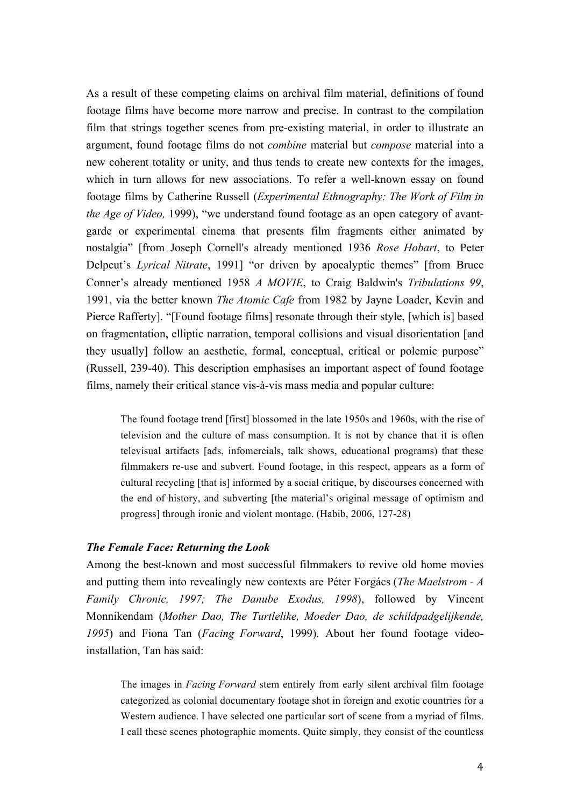As a result of these competing claims on archival film material, definitions of found footage films have become more narrow and precise. In contrast to the compilation film that strings together scenes from pre-existing material, in order to illustrate an argument, found footage films do not *combine* material but *compose* material into a new coherent totality or unity, and thus tends to create new contexts for the images, which in turn allows for new associations. To refer a well-known essay on found footage films by Catherine Russell (*Experimental Ethnography: The Work of Film in the Age of Video,* 1999), "we understand found footage as an open category of avantgarde or experimental cinema that presents film fragments either animated by nostalgia" [from Joseph Cornell's already mentioned 1936 *Rose Hobart*, to Peter Delpeut's *Lyrical Nitrate*, 1991] "or driven by apocalyptic themes" [from Bruce Conner's already mentioned 1958 *A MOVIE*, to Craig Baldwin's *Tribulations 99*, 1991, via the better known *The Atomic Cafe* from 1982 by Jayne Loader, Kevin and Pierce Rafferty]. "[Found footage films] resonate through their style, [which is] based on fragmentation, elliptic narration, temporal collisions and visual disorientation [and they usually] follow an aesthetic, formal, conceptual, critical or polemic purpose" (Russell, 239-40). This description emphasises an important aspect of found footage films, namely their critical stance vis-à-vis mass media and popular culture:

The found footage trend [first] blossomed in the late 1950s and 1960s, with the rise of television and the culture of mass consumption. It is not by chance that it is often televisual artifacts [ads, infomercials, talk shows, educational programs) that these filmmakers re-use and subvert. Found footage, in this respect, appears as a form of cultural recycling [that is] informed by a social critique, by discourses concerned with the end of history, and subverting [the material's original message of optimism and progress] through ironic and violent montage. (Habib, 2006, 127-28)

#### *The Female Face: Returning the Look*

Among the best-known and most successful filmmakers to revive old home movies and putting them into revealingly new contexts are Péter Forgács (*The Maelstrom - A Family Chronic, 1997; The Danube Exodus, 1998*), followed by Vincent Monnikendam (*Mother Dao, The Turtlelike, Moeder Dao, de schildpadgelijkende, 1995*) and Fiona Tan (*Facing Forward*, 1999). About her found footage videoinstallation, Tan has said:

The images in *Facing Forward* stem entirely from early silent archival film footage categorized as colonial documentary footage shot in foreign and exotic countries for a Western audience. I have selected one particular sort of scene from a myriad of films. I call these scenes photographic moments. Quite simply, they consist of the countless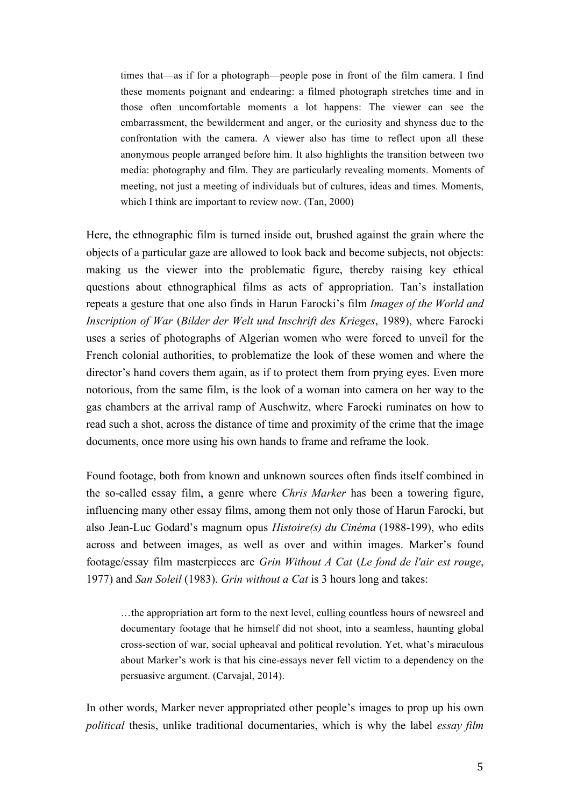times that—as if for a photograph—people pose in front of the film camera. I find these moments poignant and endearing: a filmed photograph stretches time and in those often uncomfortable moments a lot happens: The viewer can see the embarrassment, the bewilderment and anger, or the curiosity and shyness due to the confrontation with the camera. A viewer also has time to reflect upon all these anonymous people arranged before him. It also highlights the transition between two media: photography and film. They are particularly revealing moments. Moments of meeting, not just a meeting of individuals but of cultures, ideas and times. Moments, which I think are important to review now. (Tan, 2000)

Here, the ethnographic film is turned inside out, brushed against the grain where the objects of a particular gaze are allowed to look back and become subjects, not objects: making us the viewer into the problematic figure, thereby raising key ethical questions about ethnographical films as acts of appropriation. Tan's installation repeats a gesture that one also finds in Harun Farocki's film *Images of the World and Inscription of War* (*Bilder der Welt und Inschrift des Krieges*, 1989), where Farocki uses a series of photographs of Algerian women who were forced to unveil for the French colonial authorities, to problematize the look of these women and where the director's hand covers them again, as if to protect them from prying eyes. Even more notorious, from the same film, is the look of a woman into camera on her way to the gas chambers at the arrival ramp of Auschwitz, where Farocki ruminates on how to read such a shot, across the distance of time and proximity of the crime that the image documents, once more using his own hands to frame and reframe the look.

Found footage, both from known and unknown sources often finds itself combined in the so-called essay film, a genre where *Chris Marker* has been a towering figure, influencing many other essay films, among them not only those of Harun Farocki, but also Jean-Luc Godard's magnum opus *Histoire(s) du Cinéma* (1988-199), who edits across and between images, as well as over and within images. Marker's found footage/essay film masterpieces are *Grin Without A Cat* (*Le fond de l'air est rouge*, 1977) and *San Soleil* (1983). *Grin without a Cat* is 3 hours long and takes:

…the appropriation art form to the next level, culling countless hours of newsreel and documentary footage that he himself did not shoot, into a seamless, haunting global cross-section of war, social upheaval and political revolution. Yet, what's miraculous about Marker's work is that his cine-essays never fell victim to a dependency on the persuasive argument. (Carvajal, 2014).

In other words, Marker never appropriated other people's images to prop up his own *political* thesis, unlike traditional documentaries, which is why the label *essay film*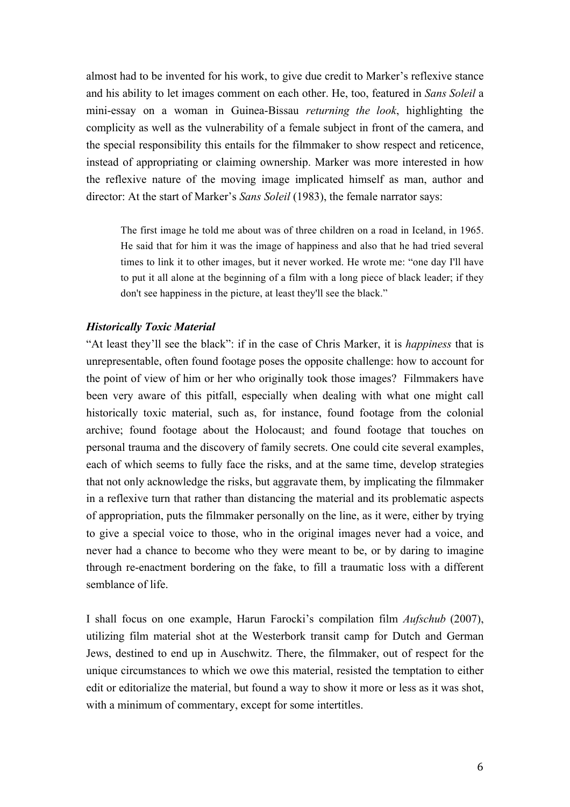almost had to be invented for his work, to give due credit to Marker's reflexive stance and his ability to let images comment on each other. He, too, featured in *Sans Soleil* a mini-essay on a woman in Guinea-Bissau *returning the look*, highlighting the complicity as well as the vulnerability of a female subject in front of the camera, and the special responsibility this entails for the filmmaker to show respect and reticence, instead of appropriating or claiming ownership. Marker was more interested in how the reflexive nature of the moving image implicated himself as man, author and director: At the start of Marker's *Sans Soleil* (1983), the female narrator says:

The first image he told me about was of three children on a road in Iceland, in 1965. He said that for him it was the image of happiness and also that he had tried several times to link it to other images, but it never worked. He wrote me: "one day I'll have to put it all alone at the beginning of a film with a long piece of black leader; if they don't see happiness in the picture, at least they'll see the black."

### *Historically Toxic Material*

"At least they'll see the black": if in the case of Chris Marker, it is *happiness* that is unrepresentable, often found footage poses the opposite challenge: how to account for the point of view of him or her who originally took those images? Filmmakers have been very aware of this pitfall, especially when dealing with what one might call historically toxic material, such as, for instance, found footage from the colonial archive; found footage about the Holocaust; and found footage that touches on personal trauma and the discovery of family secrets. One could cite several examples, each of which seems to fully face the risks, and at the same time, develop strategies that not only acknowledge the risks, but aggravate them, by implicating the filmmaker in a reflexive turn that rather than distancing the material and its problematic aspects of appropriation, puts the filmmaker personally on the line, as it were, either by trying to give a special voice to those, who in the original images never had a voice, and never had a chance to become who they were meant to be, or by daring to imagine through re-enactment bordering on the fake, to fill a traumatic loss with a different semblance of life.

I shall focus on one example, Harun Farocki's compilation film *Aufschub* (2007), utilizing film material shot at the Westerbork transit camp for Dutch and German Jews, destined to end up in Auschwitz. There, the filmmaker, out of respect for the unique circumstances to which we owe this material, resisted the temptation to either edit or editorialize the material, but found a way to show it more or less as it was shot, with a minimum of commentary, except for some intertitles.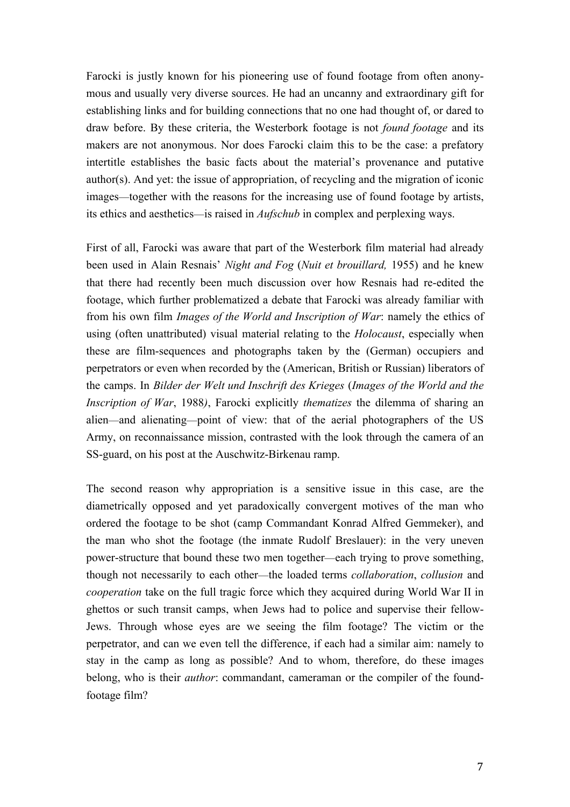Farocki is justly known for his pioneering use of found footage from often anonymous and usually very diverse sources. He had an uncanny and extraordinary gift for establishing links and for building connections that no one had thought of, or dared to draw before. By these criteria, the Westerbork footage is not *found footage* and its makers are not anonymous. Nor does Farocki claim this to be the case: a prefatory intertitle establishes the basic facts about the material's provenance and putative author(s). And yet: the issue of appropriation, of recycling and the migration of iconic images—together with the reasons for the increasing use of found footage by artists, its ethics and aesthetics—is raised in *Aufschub* in complex and perplexing ways.

First of all, Farocki was aware that part of the Westerbork film material had already been used in Alain Resnais' *Night and Fog* (*Nuit et brouillard,* 1955) and he knew that there had recently been much discussion over how Resnais had re-edited the footage, which further problematized a debate that Farocki was already familiar with from his own film *Images of the World and Inscription of War*: namely the ethics of using (often unattributed) visual material relating to the *Holocaust*, especially when these are film-sequences and photographs taken by the (German) occupiers and perpetrators or even when recorded by the (American, British or Russian) liberators of the camps. In *Bilder der Welt und Inschrift des Krieges* (*Images of the World and the Inscription of War*, 1988*)*, Farocki explicitly *thematizes* the dilemma of sharing an alien—and alienating—point of view: that of the aerial photographers of the US Army, on reconnaissance mission, contrasted with the look through the camera of an SS-guard, on his post at the Auschwitz-Birkenau ramp.

The second reason why appropriation is a sensitive issue in this case, are the diametrically opposed and yet paradoxically convergent motives of the man who ordered the footage to be shot (camp Commandant Konrad Alfred Gemmeker), and the man who shot the footage (the inmate Rudolf Breslauer): in the very uneven power-structure that bound these two men together—each trying to prove something, though not necessarily to each other—the loaded terms *collaboration*, *collusion* and *cooperation* take on the full tragic force which they acquired during World War II in ghettos or such transit camps, when Jews had to police and supervise their fellow-Jews. Through whose eyes are we seeing the film footage? The victim or the perpetrator, and can we even tell the difference, if each had a similar aim: namely to stay in the camp as long as possible? And to whom, therefore, do these images belong, who is their *author*: commandant, cameraman or the compiler of the foundfootage film?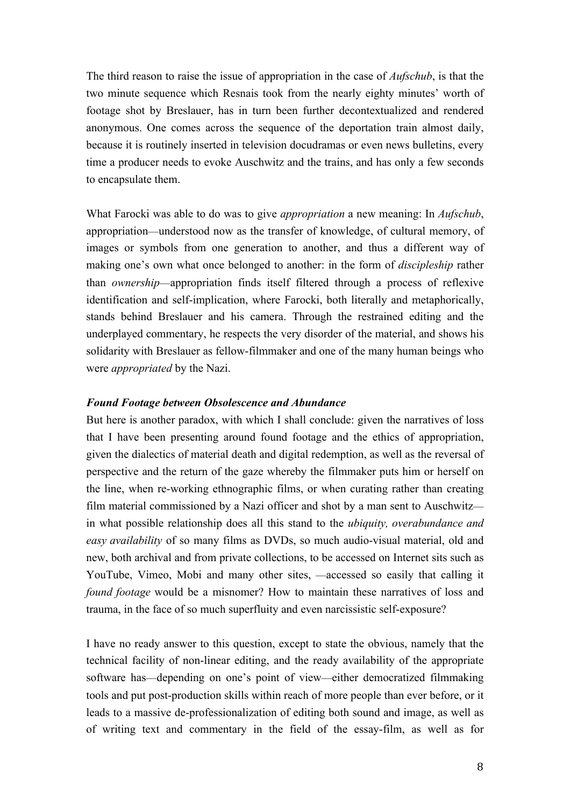The third reason to raise the issue of appropriation in the case of *Aufschub*, is that the two minute sequence which Resnais took from the nearly eighty minutes' worth of footage shot by Breslauer, has in turn been further decontextualized and rendered anonymous. One comes across the sequence of the deportation train almost daily, because it is routinely inserted in television docudramas or even news bulletins, every time a producer needs to evoke Auschwitz and the trains, and has only a few seconds to encapsulate them.

What Farocki was able to do was to give *appropriation* a new meaning: In *Aufschub*, appropriation—understood now as the transfer of knowledge, of cultural memory, of images or symbols from one generation to another, and thus a different way of making one's own what once belonged to another: in the form of *discipleship* rather than *ownership*—appropriation finds itself filtered through a process of reflexive identification and self-implication, where Farocki, both literally and metaphorically, stands behind Breslauer and his camera. Through the restrained editing and the underplayed commentary, he respects the very disorder of the material, and shows his solidarity with Breslauer as fellow-filmmaker and one of the many human beings who were *appropriated* by the Nazi.

#### *Found Footage between Obsolescence and Abundance*

But here is another paradox, with which I shall conclude: given the narratives of loss that I have been presenting around found footage and the ethics of appropriation, given the dialectics of material death and digital redemption, as well as the reversal of perspective and the return of the gaze whereby the filmmaker puts him or herself on the line, when re-working ethnographic films, or when curating rather than creating film material commissioned by a Nazi officer and shot by a man sent to Auschwitz in what possible relationship does all this stand to the *ubiquity, overabundance and easy availability* of so many films as DVDs, so much audio-visual material, old and new, both archival and from private collections, to be accessed on Internet sits such as YouTube, Vimeo, Mobi and many other sites, —accessed so easily that calling it *found footage* would be a misnomer? How to maintain these narratives of loss and trauma, in the face of so much superfluity and even narcissistic self-exposure?

I have no ready answer to this question, except to state the obvious, namely that the technical facility of non-linear editing, and the ready availability of the appropriate software has—depending on one's point of view—either democratized filmmaking tools and put post-production skills within reach of more people than ever before, or it leads to a massive de-professionalization of editing both sound and image, as well as of writing text and commentary in the field of the essay-film, as well as for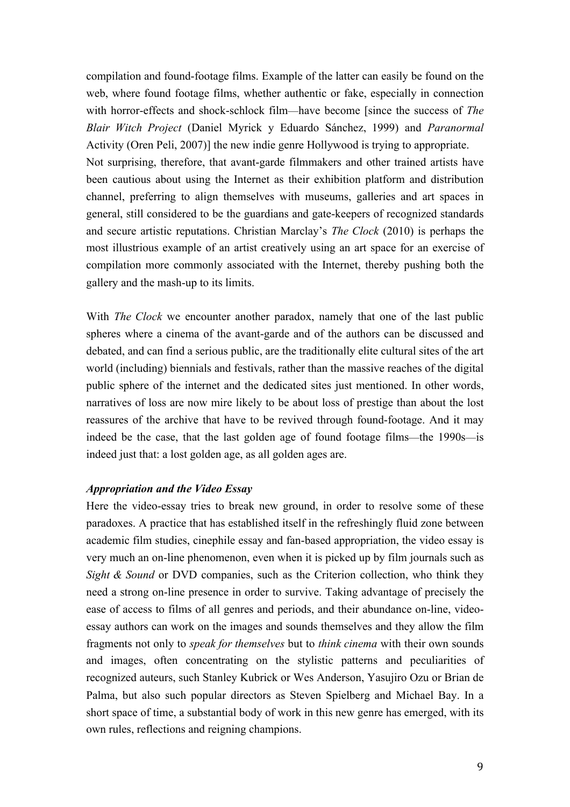compilation and found-footage films. Example of the latter can easily be found on the web, where found footage films, whether authentic or fake, especially in connection with horror-effects and shock-schlock film—have become [since the success of *The Blair Witch Project* (Daniel Myrick y Eduardo Sánchez, 1999) and *Paranormal* Activity (Oren Peli, 2007)] the new indie genre Hollywood is trying to appropriate. Not surprising, therefore, that avant-garde filmmakers and other trained artists have been cautious about using the Internet as their exhibition platform and distribution channel, preferring to align themselves with museums, galleries and art spaces in general, still considered to be the guardians and gate-keepers of recognized standards and secure artistic reputations. Christian Marclay's *The Clock* (2010) is perhaps the most illustrious example of an artist creatively using an art space for an exercise of compilation more commonly associated with the Internet, thereby pushing both the gallery and the mash-up to its limits.

With *The Clock* we encounter another paradox, namely that one of the last public spheres where a cinema of the avant-garde and of the authors can be discussed and debated, and can find a serious public, are the traditionally elite cultural sites of the art world (including) biennials and festivals, rather than the massive reaches of the digital public sphere of the internet and the dedicated sites just mentioned. In other words, narratives of loss are now mire likely to be about loss of prestige than about the lost reassures of the archive that have to be revived through found-footage. And it may indeed be the case, that the last golden age of found footage films—the 1990s—is indeed just that: a lost golden age, as all golden ages are.

### *Appropriation and the Video Essay*

Here the video-essay tries to break new ground, in order to resolve some of these paradoxes. A practice that has established itself in the refreshingly fluid zone between academic film studies, cinephile essay and fan-based appropriation, the video essay is very much an on-line phenomenon, even when it is picked up by film journals such as *Sight & Sound* or DVD companies, such as the Criterion collection, who think they need a strong on-line presence in order to survive. Taking advantage of precisely the ease of access to films of all genres and periods, and their abundance on-line, videoessay authors can work on the images and sounds themselves and they allow the film fragments not only to *speak for themselves* but to *think cinema* with their own sounds and images, often concentrating on the stylistic patterns and peculiarities of recognized auteurs, such Stanley Kubrick or Wes Anderson, Yasujiro Ozu or Brian de Palma, but also such popular directors as Steven Spielberg and Michael Bay. In a short space of time, a substantial body of work in this new genre has emerged, with its own rules, reflections and reigning champions.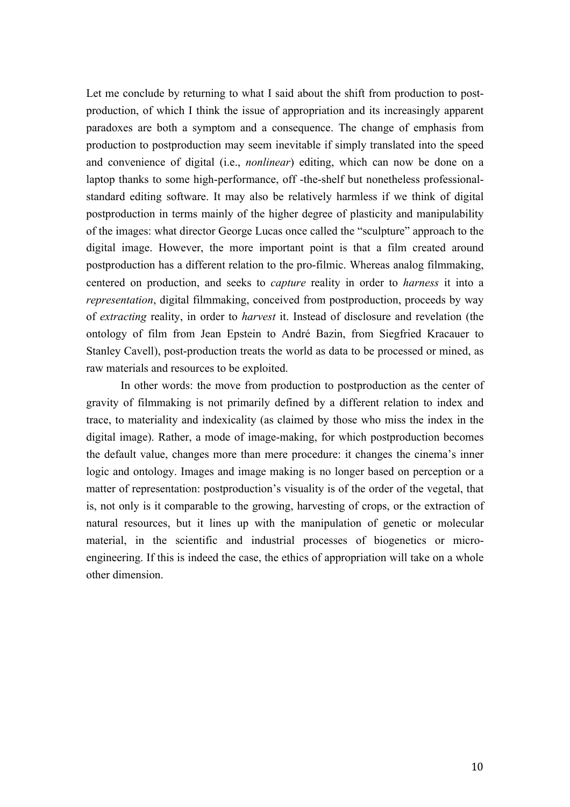Let me conclude by returning to what I said about the shift from production to postproduction, of which I think the issue of appropriation and its increasingly apparent paradoxes are both a symptom and a consequence. The change of emphasis from production to postproduction may seem inevitable if simply translated into the speed and convenience of digital (i.e., *nonlinear*) editing, which can now be done on a laptop thanks to some high-performance, off -the-shelf but nonetheless professionalstandard editing software. It may also be relatively harmless if we think of digital postproduction in terms mainly of the higher degree of plasticity and manipulability of the images: what director George Lucas once called the "sculpture" approach to the digital image. However, the more important point is that a film created around postproduction has a different relation to the pro-filmic. Whereas analog filmmaking, centered on production, and seeks to *capture* reality in order to *harness* it into a *representation*, digital filmmaking, conceived from postproduction, proceeds by way of *extracting* reality, in order to *harvest* it. Instead of disclosure and revelation (the ontology of film from Jean Epstein to André Bazin, from Siegfried Kracauer to Stanley Cavell), post-production treats the world as data to be processed or mined, as raw materials and resources to be exploited.

In other words: the move from production to postproduction as the center of gravity of filmmaking is not primarily defined by a different relation to index and trace, to materiality and indexicality (as claimed by those who miss the index in the digital image). Rather, a mode of image-making, for which postproduction becomes the default value, changes more than mere procedure: it changes the cinema's inner logic and ontology. Images and image making is no longer based on perception or a matter of representation: postproduction's visuality is of the order of the vegetal, that is, not only is it comparable to the growing, harvesting of crops, or the extraction of natural resources, but it lines up with the manipulation of genetic or molecular material, in the scientific and industrial processes of biogenetics or microengineering. If this is indeed the case, the ethics of appropriation will take on a whole other dimension.